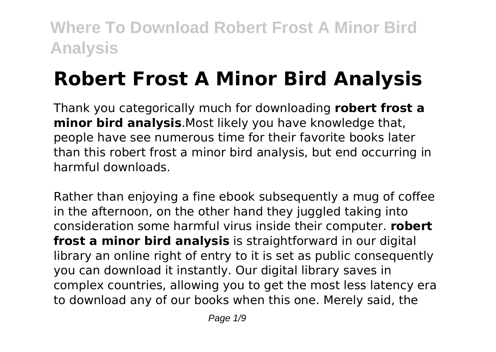# **Robert Frost A Minor Bird Analysis**

Thank you categorically much for downloading **robert frost a minor bird analysis**.Most likely you have knowledge that, people have see numerous time for their favorite books later than this robert frost a minor bird analysis, but end occurring in harmful downloads.

Rather than enjoying a fine ebook subsequently a mug of coffee in the afternoon, on the other hand they juggled taking into consideration some harmful virus inside their computer. **robert frost a minor bird analysis** is straightforward in our digital library an online right of entry to it is set as public consequently you can download it instantly. Our digital library saves in complex countries, allowing you to get the most less latency era to download any of our books when this one. Merely said, the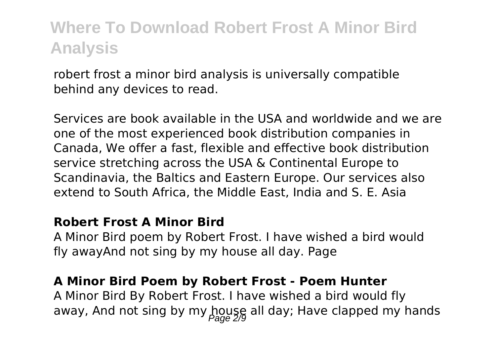robert frost a minor bird analysis is universally compatible behind any devices to read.

Services are book available in the USA and worldwide and we are one of the most experienced book distribution companies in Canada, We offer a fast, flexible and effective book distribution service stretching across the USA & Continental Europe to Scandinavia, the Baltics and Eastern Europe. Our services also extend to South Africa, the Middle East, India and S. E. Asia

#### **Robert Frost A Minor Bird**

A Minor Bird poem by Robert Frost. I have wished a bird would fly awayAnd not sing by my house all day. Page

### **A Minor Bird Poem by Robert Frost - Poem Hunter**

A Minor Bird By Robert Frost. I have wished a bird would fly away, And not sing by my house all day; Have clapped my hands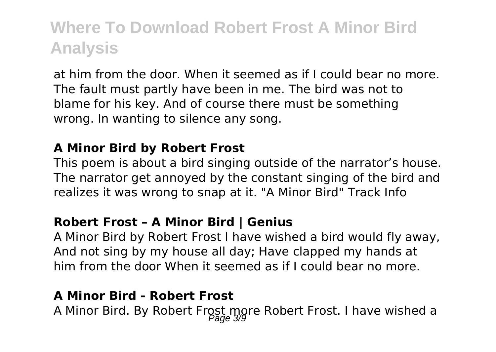at him from the door. When it seemed as if I could bear no more. The fault must partly have been in me. The bird was not to blame for his key. And of course there must be something wrong. In wanting to silence any song.

#### **A Minor Bird by Robert Frost**

This poem is about a bird singing outside of the narrator's house. The narrator get annoyed by the constant singing of the bird and realizes it was wrong to snap at it. "A Minor Bird" Track Info

#### **Robert Frost – A Minor Bird | Genius**

A Minor Bird by Robert Frost I have wished a bird would fly away, And not sing by my house all day; Have clapped my hands at him from the door When it seemed as if I could bear no more.

### **A Minor Bird - Robert Frost**

A Minor Bird. By Robert Frost more Robert Frost. I have wished a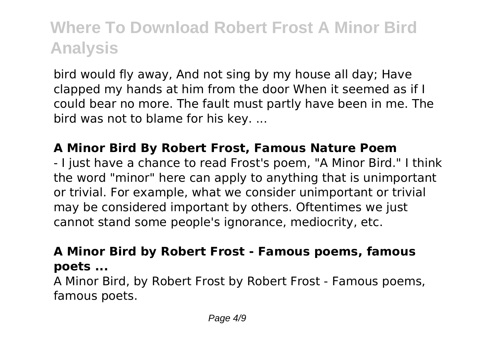bird would fly away, And not sing by my house all day; Have clapped my hands at him from the door When it seemed as if I could bear no more. The fault must partly have been in me. The bird was not to blame for his key. ...

### **A Minor Bird By Robert Frost, Famous Nature Poem**

- I just have a chance to read Frost's poem, "A Minor Bird." I think the word "minor" here can apply to anything that is unimportant or trivial. For example, what we consider unimportant or trivial may be considered important by others. Oftentimes we just cannot stand some people's ignorance, mediocrity, etc.

### **A Minor Bird by Robert Frost - Famous poems, famous poets ...**

A Minor Bird, by Robert Frost by Robert Frost - Famous poems, famous poets.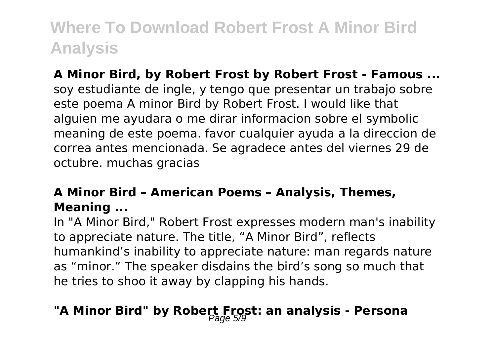**A Minor Bird, by Robert Frost by Robert Frost - Famous ...** soy estudiante de ingle, y tengo que presentar un trabajo sobre este poema A minor Bird by Robert Frost. I would like that alguien me ayudara o me dirar informacion sobre el symbolic meaning de este poema. favor cualquier ayuda a la direccion de correa antes mencionada. Se agradece antes del viernes 29 de octubre. muchas gracias

### **A Minor Bird – American Poems – Analysis, Themes, Meaning ...**

In "A Minor Bird," Robert Frost expresses modern man's inability to appreciate nature. The title, "A Minor Bird", reflects humankind's inability to appreciate nature: man regards nature as "minor." The speaker disdains the bird's song so much that he tries to shoo it away by clapping his hands.

### "A Minor Bird" by Robert Frost: an analysis - Persona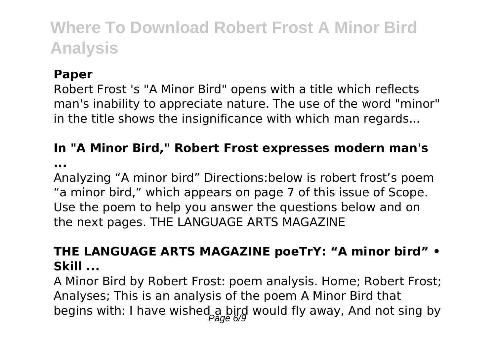### **Paper**

Robert Frost 's "A Minor Bird" opens with a title which reflects man's inability to appreciate nature. The use of the word "minor" in the title shows the insignificance with which man regards...

### **In "A Minor Bird," Robert Frost expresses modern man's**

**...**

Analyzing "A minor bird" Directions:below is robert frost's poem "a minor bird," which appears on page 7 of this issue of Scope. Use the poem to help you answer the questions below and on the next pages. THE LANGUAGE ARTS MAGAZINE

### **THE LANGUAGE ARTS MAGAZINE poeTrY: "A minor bird" • Skill ...**

A Minor Bird by Robert Frost: poem analysis. Home; Robert Frost; Analyses; This is an analysis of the poem A Minor Bird that begins with: I have wished a bird would fly away, And not sing by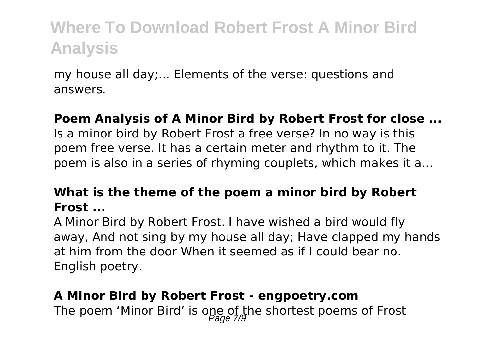my house all day;... Elements of the verse: questions and answers.

### **Poem Analysis of A Minor Bird by Robert Frost for close ...**

Is a minor bird by Robert Frost a free verse? In no way is this poem free verse. It has a certain meter and rhythm to it. The poem is also in a series of rhyming couplets, which makes it a...

### **What is the theme of the poem a minor bird by Robert Frost ...**

A Minor Bird by Robert Frost. I have wished a bird would fly away, And not sing by my house all day; Have clapped my hands at him from the door When it seemed as if I could bear no. English poetry.

### **A Minor Bird by Robert Frost - engpoetry.com**

The poem 'Minor Bird' is one of the shortest poems of Frost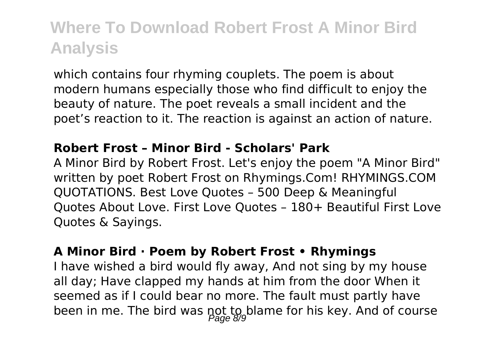which contains four rhyming couplets. The poem is about modern humans especially those who find difficult to enjoy the beauty of nature. The poet reveals a small incident and the poet's reaction to it. The reaction is against an action of nature.

### **Robert Frost – Minor Bird - Scholars' Park**

A Minor Bird by Robert Frost. Let's enjoy the poem "A Minor Bird" written by poet Robert Frost on Rhymings.Com! RHYMINGS.COM QUOTATIONS. Best Love Quotes – 500 Deep & Meaningful Quotes About Love. First Love Quotes – 180+ Beautiful First Love Quotes & Sayings.

#### **A Minor Bird · Poem by Robert Frost • Rhymings**

I have wished a bird would fly away, And not sing by my house all day; Have clapped my hands at him from the door When it seemed as if I could bear no more. The fault must partly have been in me. The bird was not to blame for his key. And of course